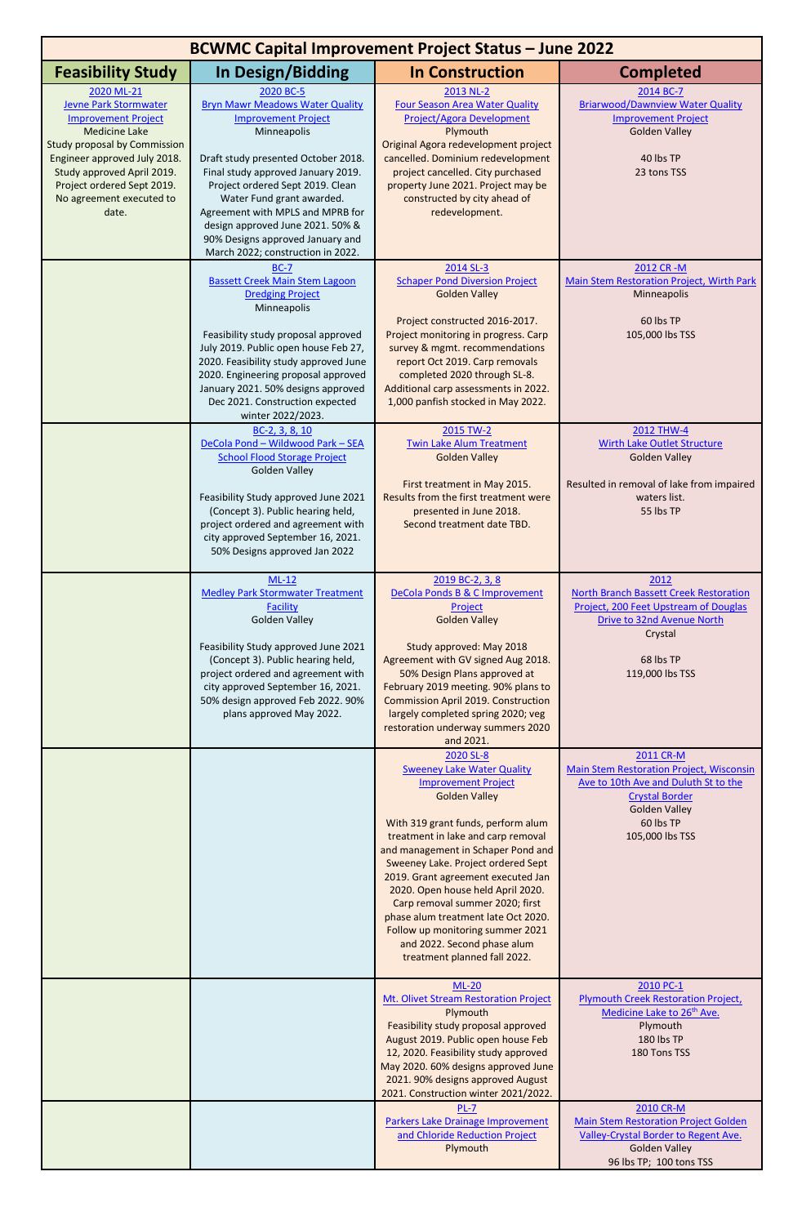| <b>BCWMC Capital Improvement Project Status - June 2022</b>                                                                                                                                                                                                              |                                                                                                                                                                                                                                                                                                                                                                                                 |                                                                                                                                                                                                                                                                                                                                                                                                                                                                                                                      |                                                                                                                                                                                                                                                                         |  |  |
|--------------------------------------------------------------------------------------------------------------------------------------------------------------------------------------------------------------------------------------------------------------------------|-------------------------------------------------------------------------------------------------------------------------------------------------------------------------------------------------------------------------------------------------------------------------------------------------------------------------------------------------------------------------------------------------|----------------------------------------------------------------------------------------------------------------------------------------------------------------------------------------------------------------------------------------------------------------------------------------------------------------------------------------------------------------------------------------------------------------------------------------------------------------------------------------------------------------------|-------------------------------------------------------------------------------------------------------------------------------------------------------------------------------------------------------------------------------------------------------------------------|--|--|
| <b>Feasibility Study</b>                                                                                                                                                                                                                                                 | In Design/Bidding                                                                                                                                                                                                                                                                                                                                                                               | <b>In Construction</b>                                                                                                                                                                                                                                                                                                                                                                                                                                                                                               | <b>Completed</b>                                                                                                                                                                                                                                                        |  |  |
| 2020 ML-21<br><b>Jevne Park Stormwater</b><br><b>Improvement Project</b><br><b>Medicine Lake</b><br><b>Study proposal by Commission</b><br>Engineer approved July 2018.<br>Study approved April 2019.<br>Project ordered Sept 2019.<br>No agreement executed to<br>date. | 2020 BC-5<br><b>Bryn Mawr Meadows Water Quality</b><br><b>Improvement Project</b><br>Minneapolis<br>Draft study presented October 2018.<br>Final study approved January 2019.<br>Project ordered Sept 2019. Clean<br>Water Fund grant awarded.<br>Agreement with MPLS and MPRB for<br>design approved June 2021. 50% &<br>90% Designs approved January and<br>March 2022; construction in 2022. | 2013 NL-2<br><b>Four Season Area Water Quality</b><br><b>Project/Agora Development</b><br>Plymouth<br>Original Agora redevelopment project<br>cancelled. Dominium redevelopment<br>project cancelled. City purchased<br>property June 2021. Project may be<br>constructed by city ahead of<br>redevelopment.                                                                                                                                                                                                         | 2014 BC-7<br><b>Briarwood/Dawnview Water Quality</b><br><b>Improvement Project</b><br><b>Golden Valley</b><br>40 lbs TP<br>23 tons TSS                                                                                                                                  |  |  |
|                                                                                                                                                                                                                                                                          | <b>BC-7</b><br><b>Bassett Creek Main Stem Lagoon</b><br><b>Dredging Project</b><br>Minneapolis<br>Feasibility study proposal approved<br>July 2019. Public open house Feb 27,<br>2020. Feasibility study approved June<br>2020. Engineering proposal approved<br>January 2021. 50% designs approved<br>Dec 2021. Construction expected<br>winter 2022/2023.                                     | 2014 SL-3<br><b>Schaper Pond Diversion Project</b><br><b>Golden Valley</b><br>Project constructed 2016-2017.<br>Project monitoring in progress. Carp<br>survey & mgmt. recommendations<br>report Oct 2019. Carp removals<br>completed 2020 through SL-8.<br>Additional carp assessments in 2022.<br>1,000 panfish stocked in May 2022.                                                                                                                                                                               | 2012 CR-M<br>Main Stem Restoration Project, Wirth Park<br>Minneapolis<br>60 lbs TP<br>105,000 lbs TSS                                                                                                                                                                   |  |  |
|                                                                                                                                                                                                                                                                          | BC-2, 3, 8, 10<br>DeCola Pond - Wildwood Park - SEA<br><b>School Flood Storage Project</b><br><b>Golden Valley</b><br>Feasibility Study approved June 2021<br>(Concept 3). Public hearing held,<br>project ordered and agreement with<br>city approved September 16, 2021.<br>50% Designs approved Jan 2022                                                                                     | 2015 TW-2<br><b>Twin Lake Alum Treatment</b><br><b>Golden Valley</b><br>First treatment in May 2015.<br>Results from the first treatment were<br>presented in June 2018.<br>Second treatment date TBD.                                                                                                                                                                                                                                                                                                               | <b>2012 THW-4</b><br><b>Wirth Lake Outlet Structure</b><br><b>Golden Valley</b><br>Resulted in removal of lake from impaired<br>waters list.<br>55 lbs TP                                                                                                               |  |  |
|                                                                                                                                                                                                                                                                          | $ML-12$<br><b>Medley Park Stormwater Treatment</b><br><b>Facility</b><br><b>Golden Valley</b><br>Feasibility Study approved June 2021<br>(Concept 3). Public hearing held,<br>project ordered and agreement with<br>city approved September 16, 2021.<br>50% design approved Feb 2022. 90%<br>plans approved May 2022.                                                                          | 2019 BC-2, 3, 8<br>DeCola Ponds B & C Improvement<br>Project<br><b>Golden Valley</b><br>Study approved: May 2018<br>Agreement with GV signed Aug 2018.<br>50% Design Plans approved at<br>February 2019 meeting. 90% plans to<br><b>Commission April 2019. Construction</b><br>largely completed spring 2020; veg<br>restoration underway summers 2020<br>and 2021.                                                                                                                                                  | 2012<br><b>North Branch Bassett Creek Restoration</b><br>Project, 200 Feet Upstream of Douglas<br>Drive to 32nd Avenue North<br>Crystal<br>68 lbs TP<br>119,000 lbs TSS                                                                                                 |  |  |
|                                                                                                                                                                                                                                                                          |                                                                                                                                                                                                                                                                                                                                                                                                 | 2020 SL-8<br><b>Sweeney Lake Water Quality</b><br><b>Improvement Project</b><br><b>Golden Valley</b><br>With 319 grant funds, perform alum<br>treatment in lake and carp removal<br>and management in Schaper Pond and<br>Sweeney Lake. Project ordered Sept<br>2019. Grant agreement executed Jan<br>2020. Open house held April 2020.<br>Carp removal summer 2020; first<br>phase alum treatment late Oct 2020.<br>Follow up monitoring summer 2021<br>and 2022. Second phase alum<br>treatment planned fall 2022. | 2011 CR-M<br><b>Main Stem Restoration Project, Wisconsin</b><br>Ave to 10th Ave and Duluth St to the<br><b>Crystal Border</b><br><b>Golden Valley</b><br>60 lbs TP<br>105,000 lbs TSS                                                                                   |  |  |
|                                                                                                                                                                                                                                                                          |                                                                                                                                                                                                                                                                                                                                                                                                 | <b>ML-20</b><br>Mt. Olivet Stream Restoration Project<br>Plymouth<br>Feasibility study proposal approved<br>August 2019. Public open house Feb<br>12, 2020. Feasibility study approved<br>May 2020. 60% designs approved June<br>2021. 90% designs approved August<br>2021. Construction winter 2021/2022.<br>$PL-7$<br>Parkers Lake Drainage Improvement<br>and Chloride Reduction Project<br>Plymouth                                                                                                              | 2010 PC-1<br><b>Plymouth Creek Restoration Project,</b><br>Medicine Lake to 26 <sup>th</sup> Ave.<br>Plymouth<br>180 lbs TP<br>180 Tons TSS<br>2010 CR-M<br><b>Main Stem Restoration Project Golden</b><br>Valley-Crystal Border to Regent Ave.<br><b>Golden Valley</b> |  |  |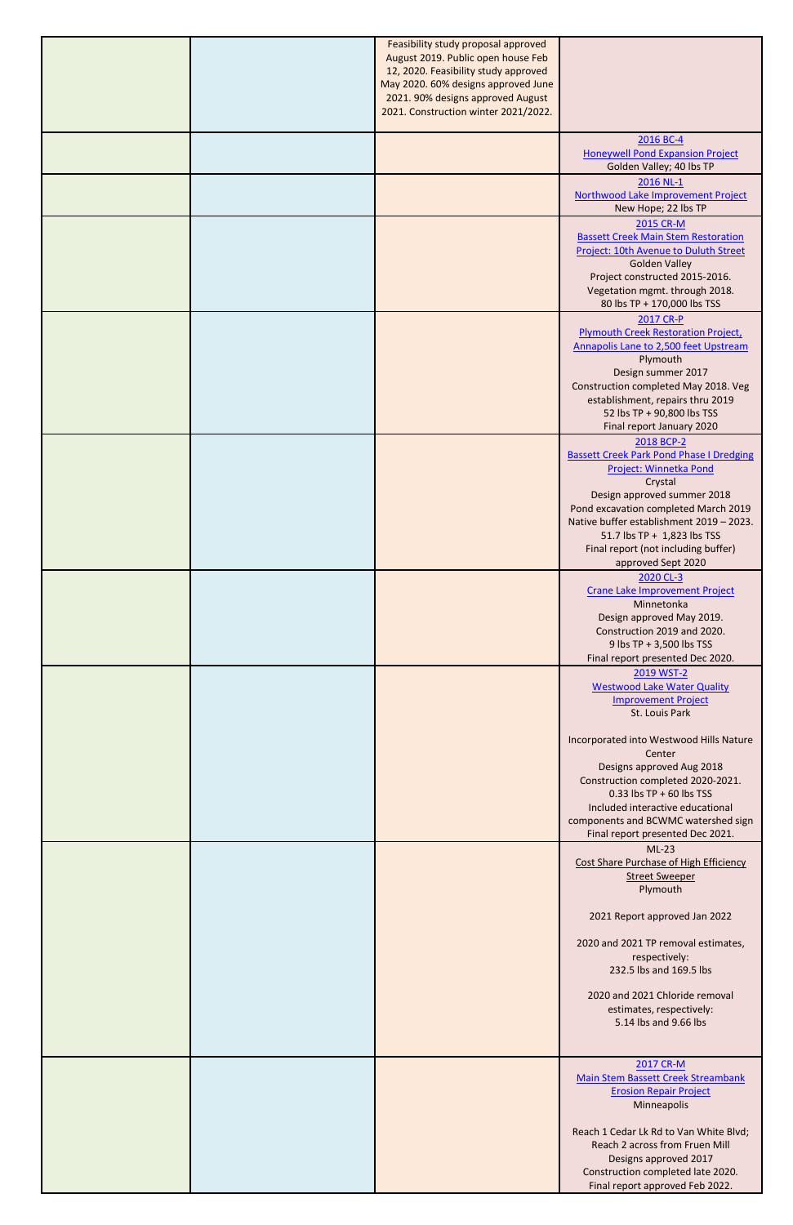|  | Feasibility study proposal approved<br>August 2019. Public open house Feb<br>12, 2020. Feasibility study approved<br>May 2020. 60% designs approved June<br>2021. 90% designs approved August<br>2021. Construction winter 2021/2022. |                                                                                                                                          |
|--|---------------------------------------------------------------------------------------------------------------------------------------------------------------------------------------------------------------------------------------|------------------------------------------------------------------------------------------------------------------------------------------|
|  |                                                                                                                                                                                                                                       |                                                                                                                                          |
|  |                                                                                                                                                                                                                                       | 2016 BC-4<br><b>Honeywell Pond Expansion Project</b><br>Golden Valley; 40 lbs TP                                                         |
|  |                                                                                                                                                                                                                                       | 2016 NL-1<br>Northwood Lake Improvement Project<br>New Hope; 22 lbs TP                                                                   |
|  |                                                                                                                                                                                                                                       | 2015 CR-M<br><b>Bassett Creek Main Stem Restoration</b>                                                                                  |
|  |                                                                                                                                                                                                                                       | Project: 10th Avenue to Duluth Street<br><b>Golden Valley</b><br>Project constructed 2015-2016.<br>Vegetation mgmt. through 2018.        |
|  |                                                                                                                                                                                                                                       | 80 lbs TP + 170,000 lbs TSS<br>2017 CR-P                                                                                                 |
|  |                                                                                                                                                                                                                                       | <b>Plymouth Creek Restoration Project,</b><br>Annapolis Lane to 2,500 feet Upstream                                                      |
|  |                                                                                                                                                                                                                                       | Plymouth<br>Design summer 2017<br>Construction completed May 2018. Veg<br>establishment, repairs thru 2019<br>52 lbs TP + 90,800 lbs TSS |
|  |                                                                                                                                                                                                                                       | Final report January 2020                                                                                                                |
|  |                                                                                                                                                                                                                                       | 2018 BCP-2<br><b>Bassett Creek Park Pond Phase I Dredging</b><br>Project: Winnetka Pond                                                  |
|  |                                                                                                                                                                                                                                       | Crystal<br>Design approved summer 2018<br>Pond excavation completed March 2019                                                           |
|  |                                                                                                                                                                                                                                       | Native buffer establishment 2019 - 2023.<br>51.7 lbs TP + 1,823 lbs TSS<br>Final report (not including buffer)                           |
|  |                                                                                                                                                                                                                                       | approved Sept 2020<br>2020 CL-3                                                                                                          |
|  |                                                                                                                                                                                                                                       | <b>Crane Lake Improvement Project</b><br>Minnetonka<br>Design approved May 2019.<br>Construction 2019 and 2020.                          |
|  |                                                                                                                                                                                                                                       | 9 lbs TP + 3,500 lbs TSS<br>Final report presented Dec 2020.                                                                             |
|  |                                                                                                                                                                                                                                       | 2019 WST-2<br><b>Westwood Lake Water Quality</b><br><b>Improvement Project</b><br>St. Louis Park                                         |
|  |                                                                                                                                                                                                                                       | Incorporated into Westwood Hills Nature<br>Center                                                                                        |
|  |                                                                                                                                                                                                                                       | Designs approved Aug 2018<br>Construction completed 2020-2021.<br>$0.33$ lbs TP + 60 lbs TSS                                             |
|  |                                                                                                                                                                                                                                       | Included interactive educational<br>components and BCWMC watershed sign<br>Final report presented Dec 2021.                              |
|  |                                                                                                                                                                                                                                       | $ML-23$<br>Cost Share Purchase of High Efficiency                                                                                        |
|  |                                                                                                                                                                                                                                       | <b>Street Sweeper</b><br>Plymouth                                                                                                        |
|  |                                                                                                                                                                                                                                       | 2021 Report approved Jan 2022                                                                                                            |
|  |                                                                                                                                                                                                                                       | 2020 and 2021 TP removal estimates,<br>respectively:<br>232.5 lbs and 169.5 lbs                                                          |
|  |                                                                                                                                                                                                                                       | 2020 and 2021 Chloride removal<br>estimates, respectively:<br>5.14 lbs and 9.66 lbs                                                      |
|  |                                                                                                                                                                                                                                       |                                                                                                                                          |
|  |                                                                                                                                                                                                                                       | 2017 CR-M<br><b>Main Stem Bassett Creek Streambank</b><br><b>Erosion Repair Project</b><br>Minneapolis                                   |
|  |                                                                                                                                                                                                                                       | Reach 1 Cedar Lk Rd to Van White Blvd;<br>Reach 2 across from Fruen Mill<br>Designs approved 2017                                        |
|  |                                                                                                                                                                                                                                       | Construction completed late 2020.<br>Final report approved Feb 2022.                                                                     |